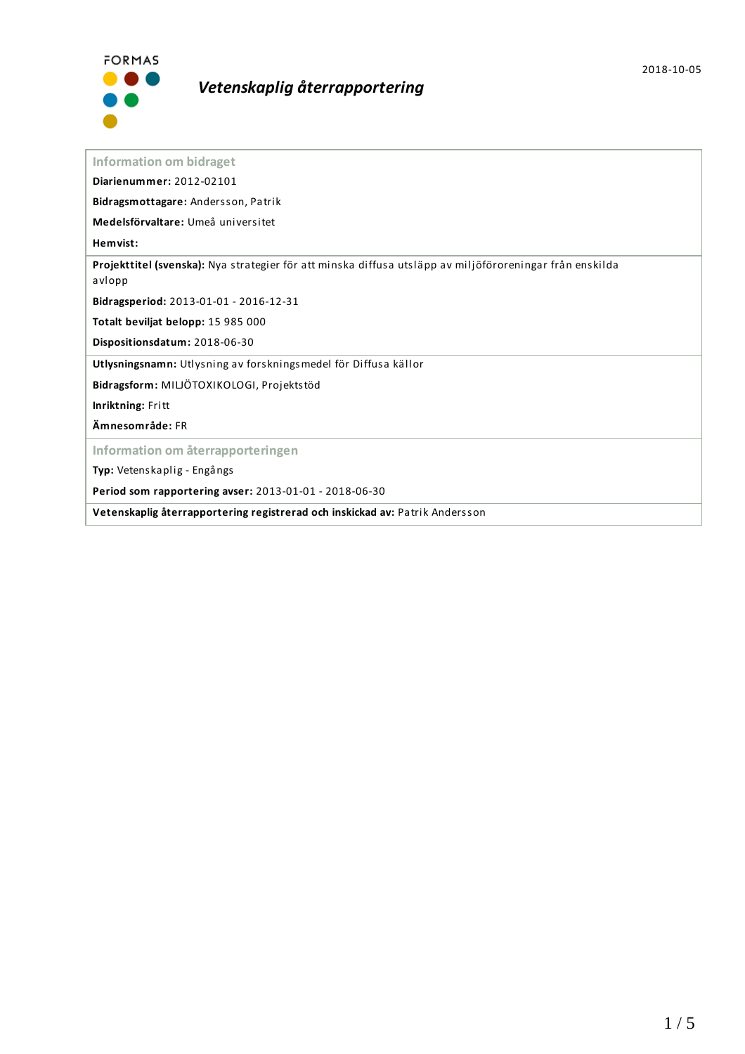

# *Vetenskaplig återrapportering*

**Information om bidraget**

**Diarienummer:** 2012-02101

**Bidragsmottagare:** Andersson, Patrik

**Medelsförvaltare:** Umeå universitet

**Hemvist:**

**Projekttitel (svenska):** Nya strategier för att minska diffusa utsläpp av miljöföroreningar från enskilda avlopp

**Bidragsperiod:** 2013-01-01 - 2016-12-31

**Totalt beviljat belopp:** 15 985 000

**Dispositionsdatum:** 2018-06-30

**Utlysningsnamn:** Utlysning av forskningsmedel för Diffusa källor

**Bidragsform:** MILJÖTOXIKOLOGI, Projektstöd

**Inriktning:** Fritt

**Ämnesområde:** FR

**Information om återrapporteringen**

**Typ:** Vetenskaplig - Engångs

**Period som rapportering avser:** 2013-01-01 - 2018-06-30

**Vetenskaplig återrapportering registrerad och inskickad av:** Patrik Andersson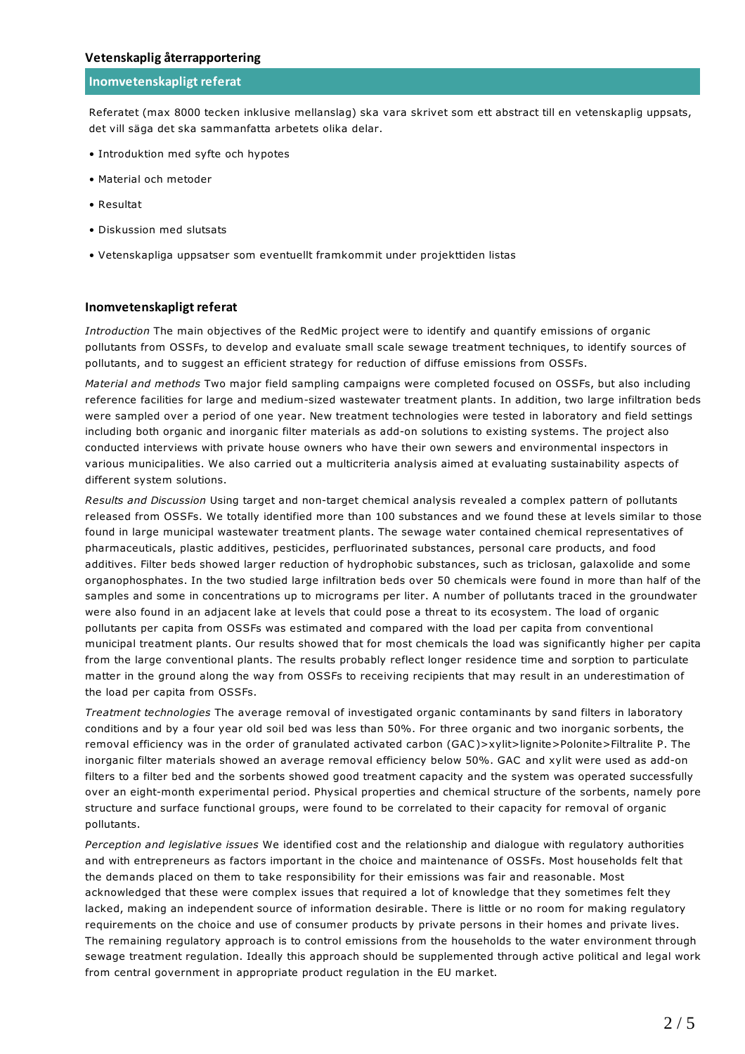#### **Inomvetenskapligt referat**

Referatet (max 8000 tecken inklusive mellanslag) ska vara skrivet som ett abstract till en vetenskaplig uppsats, det vill säga det ska sammanfatta arbetets olika delar.

- Introduktion med syfte och hypotes
- Material och metoder
- Resultat
- Diskussion med slutsats
- Vetenskapliga uppsatser som eventuellt framkommit under projekttiden listas

#### **Inomvetenskapligt referat**

*Introduction* The main objectives of the RedMic project were to identify and quantify emissions of organic pollutants from OSSFs, to develop and evaluate small scale sewage treatment techniques, to identify sources of pollutants, and to suggest an efficient strategy for reduction of diffuse emissions from OSSFs.

*Material and methods* Two major field sampling campaigns were completed focused on OSSFs, but also including reference facilities for large and medium-sized wastewater treatment plants. In addition, two large infiltration beds were sampled over a period of one year. New treatment technologies were tested in laboratory and field settings including both organic and inorganic filter materials as add-on solutions to existing systems. The project also conducted interviews with private house owners who have their own sewers and environmental inspectors in various municipalities. We also carried out a multicriteria analysis aimed at evaluating sustainability aspects of different system solutions.

*Results and Discussion* Using target and non-target chemical analysis revealed a complex pattern of pollutants released from OSSFs. We totally identified more than 100 substances and we found these at levels similar to those found in large municipal wastewater treatment plants. The sewage water contained chemical representatives of pharmaceuticals, plastic additives, pesticides, perfluorinated substances, personal care products, and food additives. Filter beds showed larger reduction of hydrophobic substances, such as triclosan, galaxolide and some organophosphates. In the two studied large infiltration beds over 50 chemicals were found in more than half of the samples and some in concentrations up to micrograms per liter. A number of pollutants traced in the groundwater were also found in an adjacent lake at levels that could pose a threat to its ecosystem. The load of organic pollutants per capita from OSSFs was estimated and compared with the load per capita from conventional municipal treatment plants. Our results showed that for most chemicals the load was significantly higher per capita from the large conventional plants. The results probably reflect longer residence time and sorption to particulate matter in the ground along the way from OSSFs to receiving recipients that may result in an underestimation of the load per capita from OSSFs.

*Treatment technologies* The average removal of investigated organic contaminants by sand filters in laboratory conditions and by a four year old soil bed was less than 50%. For three organic and two inorganic sorbents, the removal efficiency was in the order of granulated activated carbon (GAC)>xylit>lignite>Polonite>Filtralite P. The inorganic filter materials showed an average removal efficiency below 50%. GAC and xylit were used as add-on filters to a filter bed and the sorbents showed good treatment capacity and the system was operated successfully over an eight-month experimental period. Physical properties and chemical structure of the sorbents, namely pore structure and surface functional groups, were found to be correlated to their capacity for removal of organic pollutants.

*Perception and legislative issues* We identified cost and the relationship and dialogue with regulatory authorities and with entrepreneurs as factors important in the choice and maintenance of OSSFs. Most households felt that the demands placed on them to take responsibility for their emissions was fair and reasonable. Most acknowledged that these were complex issues that required a lot of knowledge that they sometimes felt they lacked, making an independent source of information desirable. There is little or no room for making regulatory requirements on the choice and use of consumer products by private persons in their homes and private lives. The remaining regulatory approach is to control emissions from the households to the water environment through sewage treatment regulation. Ideally this approach should be supplemented through active political and legal work from central government in appropriate product regulation in the EU market.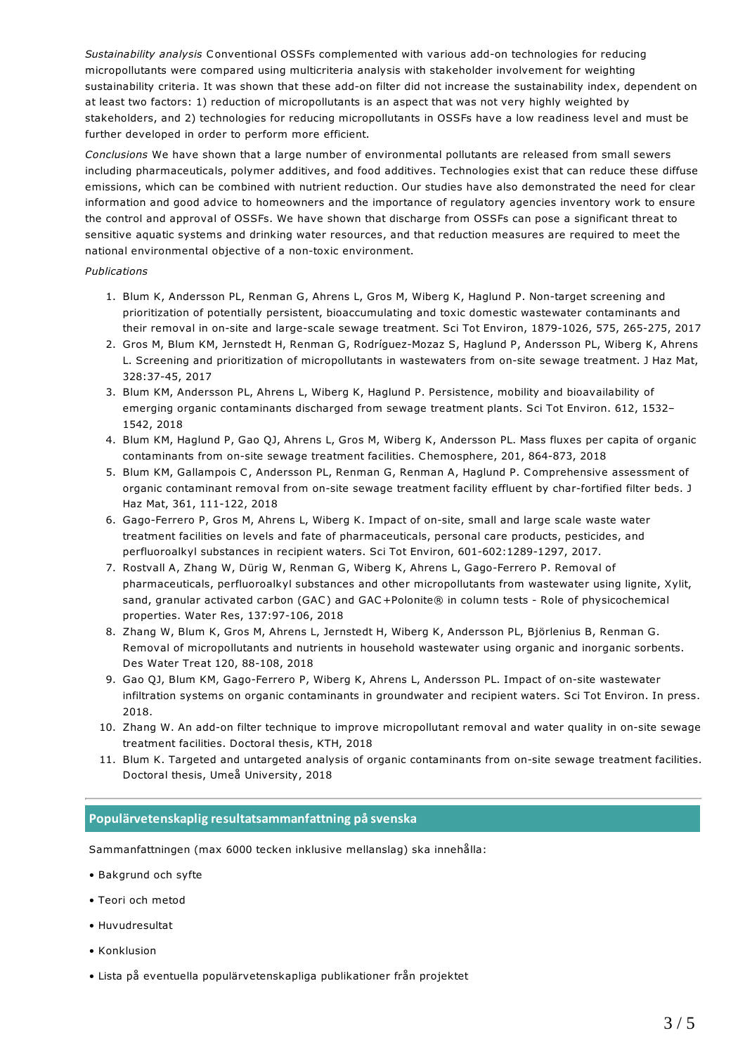*Sustainability analysis* Conventional OSSFs complemented with various add-on technologies for reducing micropollutants were compared using multicriteria analysis with stakeholder involvement for weighting sustainability criteria. It was shown that these add-on filter did not increase the sustainability index, dependent on at least two factors: 1) reduction of micropollutants is an aspect that was not very highly weighted by stakeholders, and 2) technologies for reducing micropollutants in OSSFs have a low readiness level and must be further developed in order to perform more efficient.

*Conclusions* We have shown that a large number of environmental pollutants are released from small sewers including pharmaceuticals, polymer additives, and food additives. Technologies exist that can reduce these diffuse emissions, which can be combined with nutrient reduction. Our studies have also demonstrated the need for clear information and good advice to homeowners and the importance of regulatory agencies inventory work to ensure the control and approval of OSSFs. We have shown that discharge from OSSFs can pose a significant threat to sensitive aquatic systems and drinking water resources, and that reduction measures are required to meet the national environmental objective of a non-toxic environment.

#### *Publications*

- 1. Blum K, Andersson PL, Renman G, Ahrens L, Gros M, Wiberg K, Haglund P. Non-target screening and prioritization of potentially persistent, bioaccumulating and toxic domestic wastewater contaminants and their removal in on-site and large-scale sewage treatment. Sci Tot Environ, 1879-1026, 575, 265-275, 2017
- 2. Gros M, Blum KM, Jernstedt H, Renman G, Rodríguez-Mozaz S, Haglund P, Andersson PL, Wiberg K, Ahrens L. Screening and prioritization of micropollutants in wastewaters from on-site sewage treatment. J Haz Mat, 328:37-45, 2017
- 3. Blum KM, Andersson PL, Ahrens L, Wiberg K, Haglund P. Persistence, mobility and bioavailability of emerging organic contaminants discharged from sewage treatment plants. Sci Tot Environ. 612, 1532– 1542, 2018
- 4. Blum KM, Haglund P, Gao QJ, Ahrens L, Gros M, Wiberg K, Andersson PL. Mass fluxes per capita of organic contaminants from on-site sewage treatment facilities. Chemosphere, 201, 864-873, 2018
- 5. Blum KM, Gallampois C, Andersson PL, Renman G, Renman A, Haglund P. Comprehensive assessment of organic contaminant removal from on-site sewage treatment facility effluent by char-fortified filter beds. J Haz Mat, 361, 111-122, 2018
- 6. Gago-Ferrero P, Gros M, Ahrens L, Wiberg K. Impact of on-site, small and large scale waste water treatment facilities on levels and fate of pharmaceuticals, personal care products, pesticides, and perfluoroalkyl substances in recipient waters. Sci Tot Environ, 601-602:1289-1297, 2017.
- 7. Rostvall A, Zhang W, Dürig W, Renman G, Wiberg K, Ahrens L, Gago-Ferrero P. Removal of pharmaceuticals, perfluoroalkyl substances and other micropollutants from wastewater using lignite, Xylit, sand, granular activated carbon (GAC) and GAC+Polonite® in column tests - Role of physicochemical properties. Water Res, 137:97-106, 2018
- 8. Zhang W, Blum K, Gros M, Ahrens L, Jernstedt H, Wiberg K, Andersson PL, Björlenius B, Renman G. Removal of micropollutants and nutrients in household wastewater using organic and inorganic sorbents. Des Water Treat 120, 88-108, 2018
- 9. Gao QJ, Blum KM, Gago-Ferrero P, Wiberg K, Ahrens L, Andersson PL. Impact of on-site wastewater infiltration systems on organic contaminants in groundwater and recipient waters. Sci Tot Environ. In press. 2018.
- 10. Zhang W. An add-on filter technique to improve micropollutant removal and water quality in on-site sewage treatment facilities. Doctoral thesis, KTH, 2018
- 11. Blum K. Targeted and untargeted analysis of organic contaminants from on-site sewage treatment facilities. Doctoral thesis, Umeå University, 2018

## **Populärvetenskapligresultatsammanfattning på svenska**

Sammanfattningen (max 6000 tecken inklusive mellanslag) ska innehålla:

- Bakgrund och syfte
- Teori och metod
- Huvudresultat
- Konklusion
- Lista på eventuella populärvetenskapliga publikationer från projektet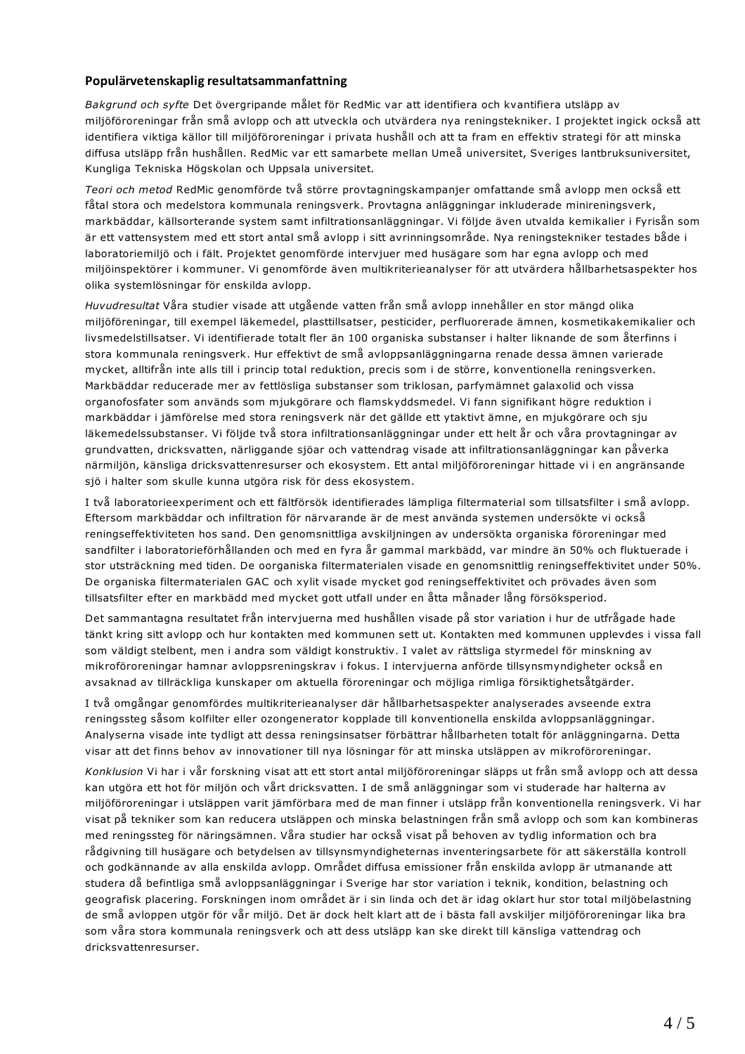### **Populärvetenskapligresultatsammanfattning**

*Bakgrund och syfte* Det övergripande målet för RedMic var att identifiera och kvantifiera utsläpp av miljöföroreningar från små avlopp och att utveckla och utvärdera nya reningstekniker. I projektet ingick också att identifiera viktiga källor till miljöföroreningar i privata hushåll och att ta fram en effektiv strategi för att minska diffusa utsläpp från hushållen. RedMic var ett samarbete mellan Umeå universitet, Sveriges lantbruksuniversitet, Kungliga Tekniska Högskolan och Uppsala universitet.

*Teori och metod* RedMic genomförde två större provtagningskampanjer omfattande små avlopp men också ett fåtal stora och medelstora kommunala reningsverk. Provtagna anläggningar inkluderade minireningsverk, markbäddar, källsorterande system samt infiltrationsanläggningar. Vi följde även utvalda kemikalier i Fyrisån som är ett vattensystem med ett stort antal små avlopp i sitt avrinningsområde. Nya reningstekniker testades både i laboratoriemiljö och i fält. Projektet genomförde intervjuer med husägare som har egna avlopp och med miljöinspektörer i kommuner. Vi genomförde även multikriterieanalyser för att utvärdera hållbarhetsaspekter hos olika systemlösningar för enskilda avlopp.

*Huvudresultat* Våra studier visade att utgående vatten från små avlopp innehåller en stor mängd olika miljöföreningar, till exempel läkemedel, plasttillsatser, pesticider, perfluorerade ämnen, kosmetikakemikalier och livsmedelstillsatser. Vi identifierade totalt fler än 100 organiska substanser i halter liknande de som återfinns i stora kommunala reningsverk. Hur effektivt de små avloppsanläggningarna renade dessa ämnen varierade mycket, alltifrån inte alls till i princip total reduktion, precis som i de större, konventionella reningsverken. Markbäddar reducerade mer av fettlösliga substanser som triklosan, parfymämnet galaxolid och vissa organofosfater som används som mjukgörare och flamskyddsmedel. Vi fann signifikant högre reduktion i markbäddar i jämförelse med stora reningsverk när det gällde ett ytaktivt ämne, en mjukgörare och sju läkemedelssubstanser. Vi följde två stora infiltrationsanläggningar under ett helt år och våra provtagningar av grundvatten, dricksvatten, närliggande sjöar och vattendrag visade att infiltrationsanläggningar kan påverka närmiljön, känsliga dricksvattenresurser och ekosystem. Ett antal miljöföroreningar hittade vi i en angränsande sjö i halter som skulle kunna utgöra risk för dess ekosystem.

I två laboratorieexperiment och ett fältförsök identifierades lämpliga filtermaterial som tillsatsfilter i små avlopp. Eftersom markbäddar och infiltration för närvarande är de mest använda systemen undersökte vi också reningseffektiviteten hos sand. Den genomsnittliga avskiljningen av undersökta organiska föroreningar med sandfilter i laboratorieförhållanden och med en fyra år gammal markbädd, var mindre än 50% och fluktuerade i stor utsträckning med tiden. De oorganiska filtermaterialen visade en genomsnittlig reningseffektivitet under 50%. De organiska filtermaterialen GAC och xylit visade mycket god reningseffektivitet och prövades även som tillsatsfilter efter en markbädd med mycket gott utfall under en åtta månader lång försöksperiod.

Det sammantagna resultatet från intervjuerna med hushållen visade på stor variation i hur de utfrågade hade tänkt kring sitt avlopp och hur kontakten med kommunen sett ut. Kontakten med kommunen upplevdes i vissa fall som väldigt stelbent, men i andra som väldigt konstruktiv. I valet av rättsliga styrmedel för minskning av mikroföroreningar hamnar avloppsreningskrav i fokus. I intervjuerna anförde tillsynsmyndigheter också en avsaknad av tillräckliga kunskaper om aktuella föroreningar och möjliga rimliga försiktighetsåtgärder.

I två omgångar genomfördes multikriterieanalyser där hållbarhetsaspekter analyserades avseende extra reningssteg såsom kolfilter eller ozongenerator kopplade till konventionella enskilda avloppsanläggningar. Analyserna visade inte tydligt att dessa reningsinsatser förbättrar hållbarheten totalt för anläggningarna. Detta visar att det finns behov av innovationer till nya lösningar för att minska utsläppen av mikroföroreningar.

*Konklusion* Vi har i vår forskning visat att ett stort antal miljöföroreningar släpps ut från små avlopp och att dessa kan utgöra ett hot för miljön och vårt dricksvatten. I de små anläggningar som vi studerade har halterna av miljöföroreningar i utsläppen varit jämförbara med de man finner i utsläpp från konventionella reningsverk. Vi har visat på tekniker som kan reducera utsläppen och minska belastningen från små avlopp och som kan kombineras med reningssteg för näringsämnen. Våra studier har också visat på behoven av tydlig information och bra rådgivning till husägare och betydelsen av tillsynsmyndigheternas inventeringsarbete för att säkerställa kontroll och godkännande av alla enskilda avlopp. Området diffusa emissioner från enskilda avlopp är utmanande att studera då befintliga små avloppsanläggningar i Sverige har stor variation i teknik, kondition, belastning och geografisk placering. Forskningen inom området är i sin linda och det är idag oklart hur stor total miljöbelastning de små avloppen utgör för vår miljö. Det är dock helt klart att de i bästa fall avskiljer miljöföroreningar lika bra som våra stora kommunala reningsverk och att dess utsläpp kan ske direkt till känsliga vattendrag och dricksvattenresurser.